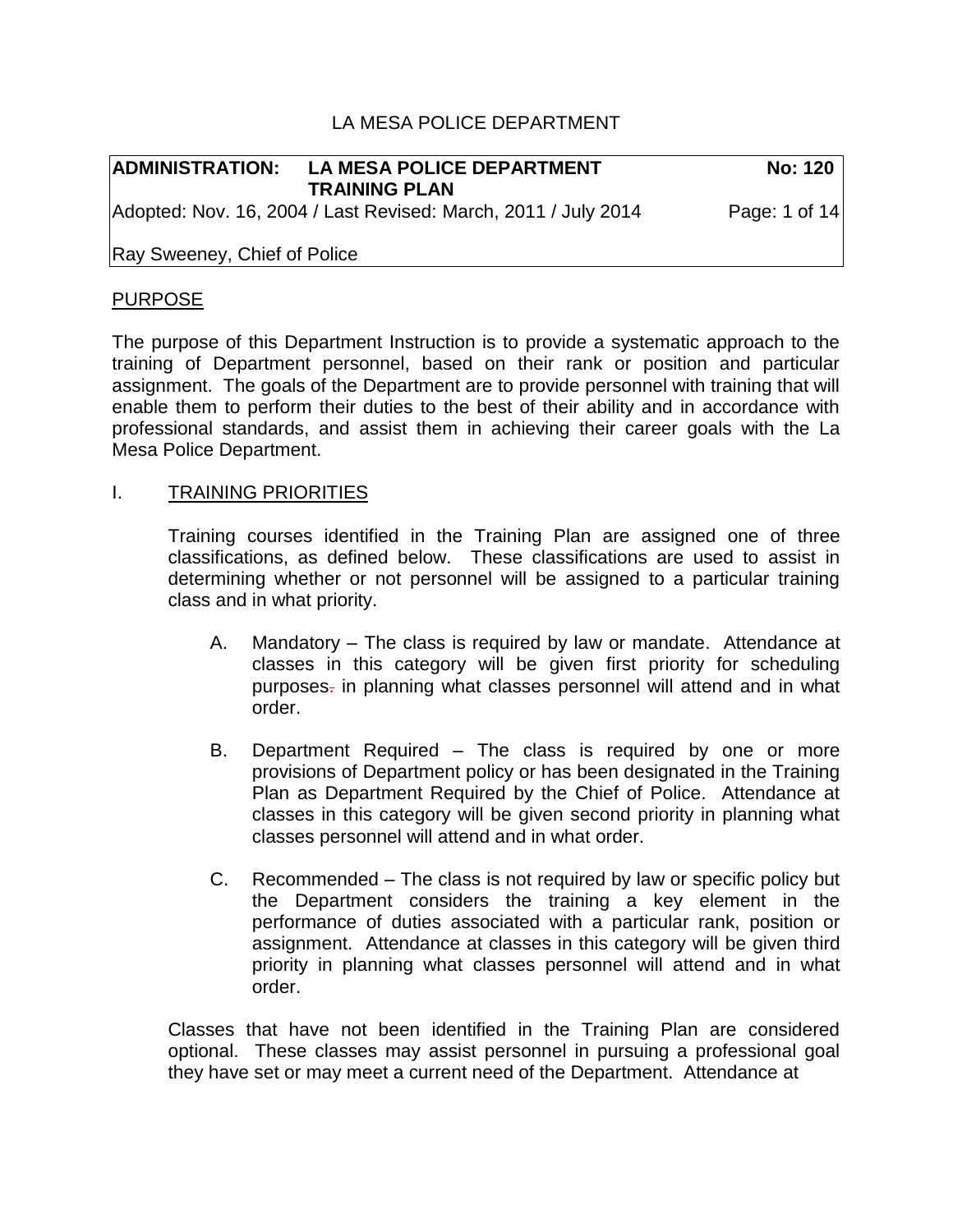# LA MESA POLICE DEPARTMENT

| <b>ADMINISTRATION:</b>       | <b>LA MESA POLICE DEPARTMENT</b>                                                       | <b>No: 120</b> |
|------------------------------|----------------------------------------------------------------------------------------|----------------|
|                              | <b>TRAINING PLAN</b><br>Adopted: Nov. 16, 2004 / Last Revised: March, 2011 / July 2014 | Page: 1 of 14  |
| Ray Sweeney, Chief of Police |                                                                                        |                |

## PURPOSE

The purpose of this Department Instruction is to provide a systematic approach to the training of Department personnel, based on their rank or position and particular assignment. The goals of the Department are to provide personnel with training that will enable them to perform their duties to the best of their ability and in accordance with professional standards, and assist them in achieving their career goals with the La Mesa Police Department.

### I. TRAINING PRIORITIES

Training courses identified in the Training Plan are assigned one of three classifications, as defined below. These classifications are used to assist in determining whether or not personnel will be assigned to a particular training class and in what priority.

- A. Mandatory The class is required by law or mandate. Attendance at classes in this category will be given first priority for scheduling purposes. in planning what classes personnel will attend and in what order.
- B. Department Required The class is required by one or more provisions of Department policy or has been designated in the Training Plan as Department Required by the Chief of Police. Attendance at classes in this category will be given second priority in planning what classes personnel will attend and in what order.
- C. Recommended The class is not required by law or specific policy but the Department considers the training a key element in the performance of duties associated with a particular rank, position or assignment. Attendance at classes in this category will be given third priority in planning what classes personnel will attend and in what order.

Classes that have not been identified in the Training Plan are considered optional. These classes may assist personnel in pursuing a professional goal they have set or may meet a current need of the Department. Attendance at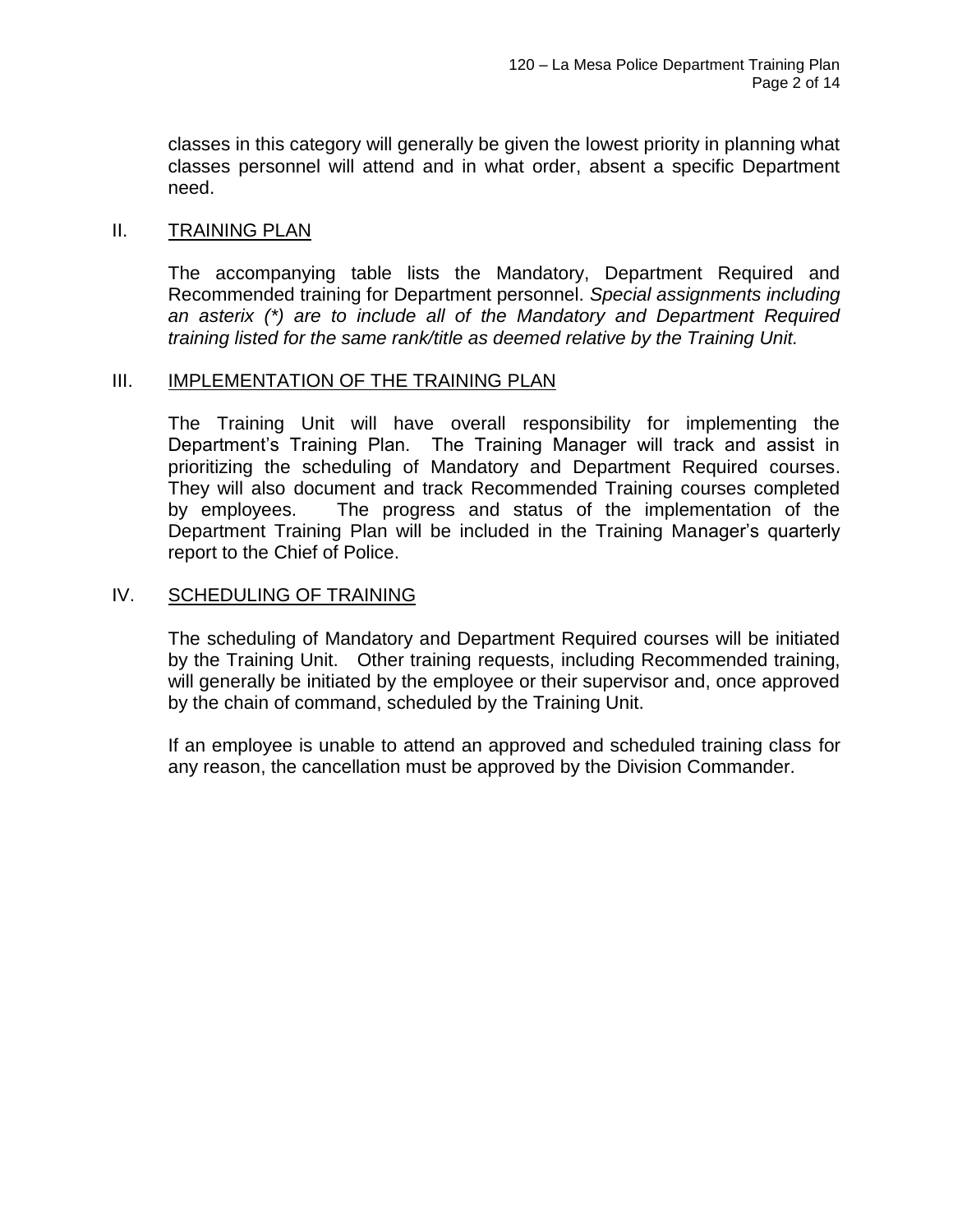classes in this category will generally be given the lowest priority in planning what classes personnel will attend and in what order, absent a specific Department need.

### II. TRAINING PLAN

The accompanying table lists the Mandatory, Department Required and Recommended training for Department personnel. *Special assignments including an asterix (\*) are to include all of the Mandatory and Department Required training listed for the same rank/title as deemed relative by the Training Unit.*

#### III. **IMPLEMENTATION OF THE TRAINING PLAN**

The Training Unit will have overall responsibility for implementing the Department's Training Plan. The Training Manager will track and assist in prioritizing the scheduling of Mandatory and Department Required courses. They will also document and track Recommended Training courses completed by employees. The progress and status of the implementation of the Department Training Plan will be included in the Training Manager's quarterly report to the Chief of Police.

### IV. SCHEDULING OF TRAINING

The scheduling of Mandatory and Department Required courses will be initiated by the Training Unit. Other training requests, including Recommended training, will generally be initiated by the employee or their supervisor and, once approved by the chain of command, scheduled by the Training Unit.

If an employee is unable to attend an approved and scheduled training class for any reason, the cancellation must be approved by the Division Commander.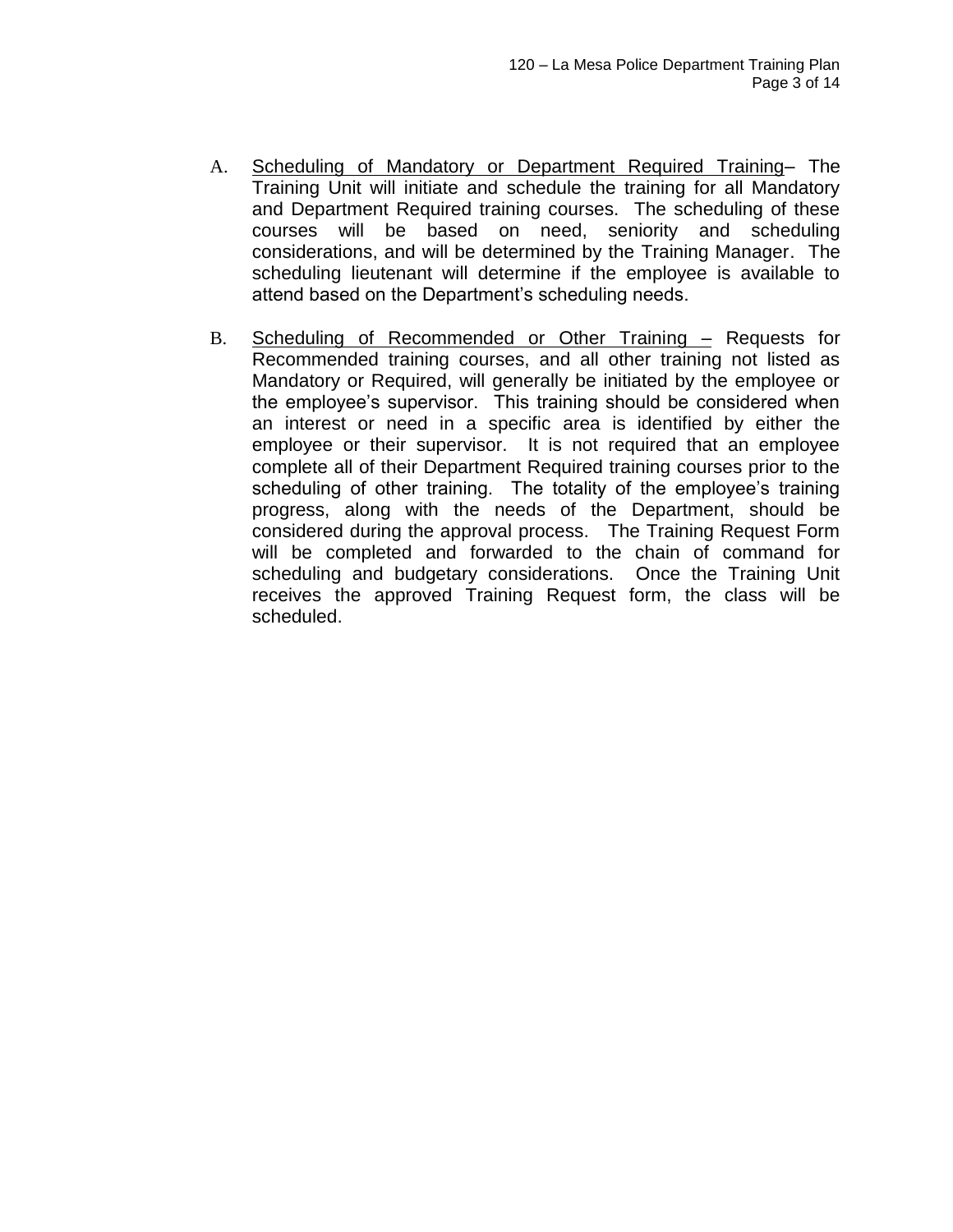- A. Scheduling of Mandatory or Department Required Training– The Training Unit will initiate and schedule the training for all Mandatory and Department Required training courses. The scheduling of these courses will be based on need, seniority and scheduling considerations, and will be determined by the Training Manager. The scheduling lieutenant will determine if the employee is available to attend based on the Department's scheduling needs.
- B. Scheduling of Recommended or Other Training Requests for Recommended training courses, and all other training not listed as Mandatory or Required, will generally be initiated by the employee or the employee's supervisor. This training should be considered when an interest or need in a specific area is identified by either the employee or their supervisor. It is not required that an employee complete all of their Department Required training courses prior to the scheduling of other training. The totality of the employee's training progress, along with the needs of the Department, should be considered during the approval process. The Training Request Form will be completed and forwarded to the chain of command for scheduling and budgetary considerations. Once the Training Unit receives the approved Training Request form, the class will be scheduled.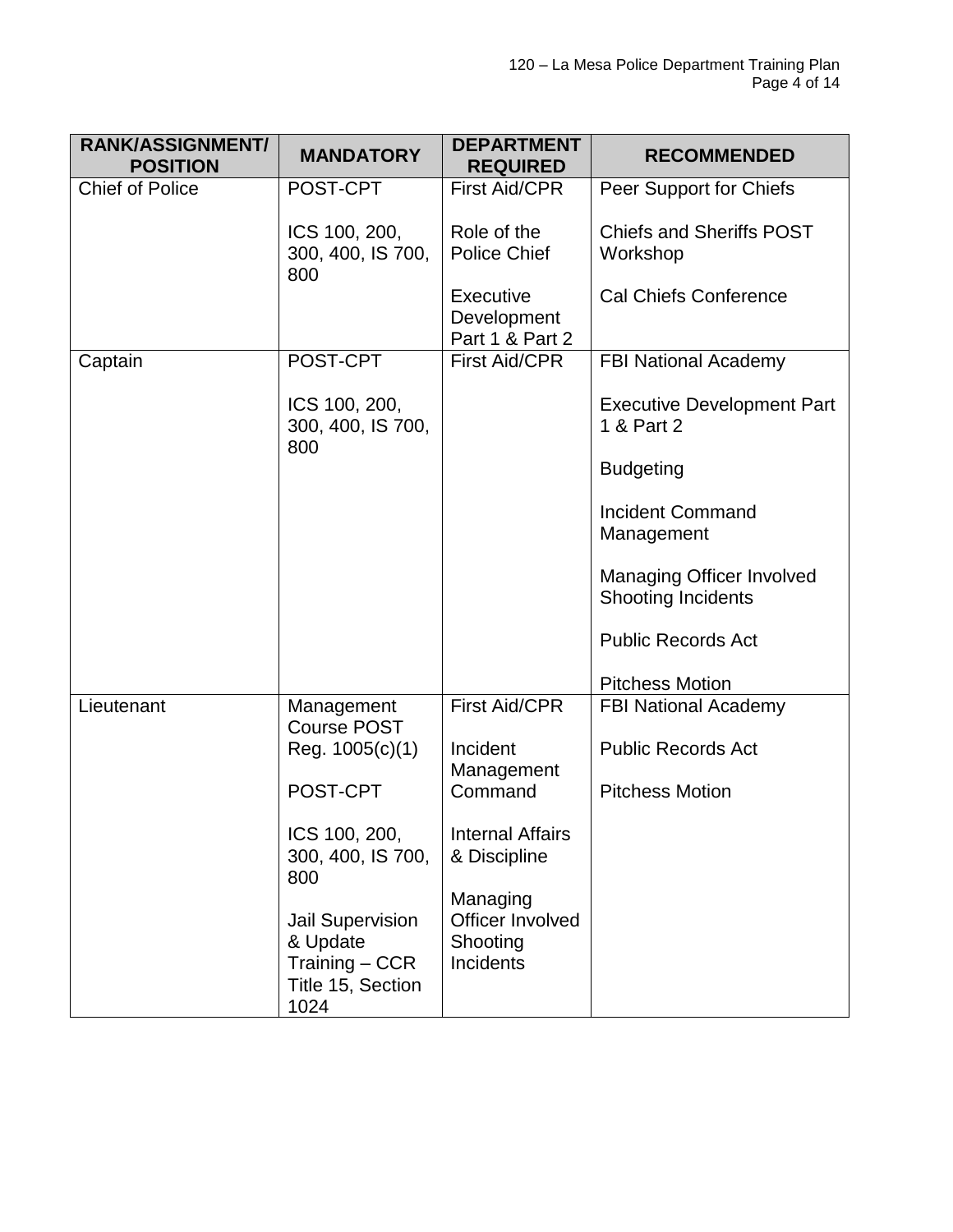| <b>RANK/ASSIGNMENT/</b><br><b>POSITION</b> | <b>MANDATORY</b>                                                                     | <b>DEPARTMENT</b><br><b>REQUIRED</b>                  | <b>RECOMMENDED</b>                                            |
|--------------------------------------------|--------------------------------------------------------------------------------------|-------------------------------------------------------|---------------------------------------------------------------|
| <b>Chief of Police</b>                     | POST-CPT                                                                             | <b>First Aid/CPR</b>                                  | Peer Support for Chiefs                                       |
|                                            | ICS 100, 200,<br>300, 400, IS 700,<br>800                                            | Role of the<br><b>Police Chief</b>                    | <b>Chiefs and Sheriffs POST</b><br>Workshop                   |
|                                            |                                                                                      | Executive<br>Development<br>Part 1 & Part 2           | <b>Cal Chiefs Conference</b>                                  |
| Captain                                    | POST-CPT                                                                             | <b>First Aid/CPR</b>                                  | <b>FBI National Academy</b>                                   |
|                                            | ICS 100, 200,<br>300, 400, IS 700,<br>800                                            |                                                       | <b>Executive Development Part</b><br>1 & Part 2               |
|                                            |                                                                                      |                                                       | <b>Budgeting</b>                                              |
|                                            |                                                                                      |                                                       | <b>Incident Command</b><br>Management                         |
|                                            |                                                                                      |                                                       | <b>Managing Officer Involved</b><br><b>Shooting Incidents</b> |
|                                            |                                                                                      |                                                       | <b>Public Records Act</b>                                     |
|                                            |                                                                                      |                                                       | <b>Pitchess Motion</b>                                        |
| Lieutenant                                 | Management<br><b>Course POST</b>                                                     | <b>First Aid/CPR</b>                                  | <b>FBI National Academy</b>                                   |
|                                            | Reg. 1005(c)(1)                                                                      | Incident<br>Management                                | <b>Public Records Act</b>                                     |
|                                            | POST-CPT                                                                             | Command                                               | <b>Pitchess Motion</b>                                        |
|                                            | ICS 100, 200,<br>300, 400, IS 700,<br>800                                            | <b>Internal Affairs</b><br>& Discipline               |                                                               |
|                                            | <b>Jail Supervision</b><br>& Update<br>$Training - CCR$<br>Title 15, Section<br>1024 | Managing<br>Officer Involved<br>Shooting<br>Incidents |                                                               |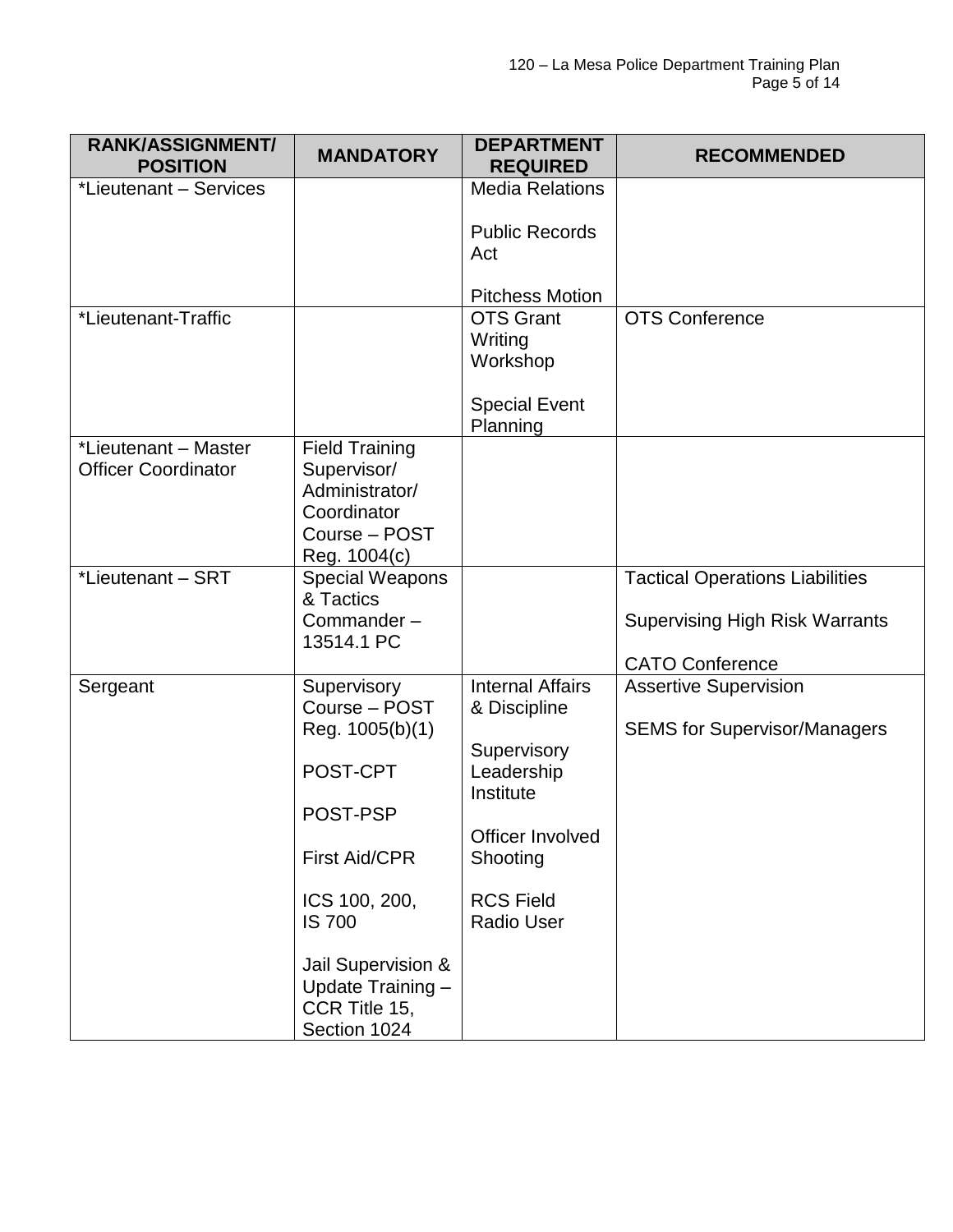| <b>RANK/ASSIGNMENT/</b><br><b>POSITION</b>         | <b>MANDATORY</b>                                                                                                                                                                                              | <b>DEPARTMENT</b><br><b>REQUIRED</b>                                                                                                                       | <b>RECOMMENDED</b>                                                                                        |
|----------------------------------------------------|---------------------------------------------------------------------------------------------------------------------------------------------------------------------------------------------------------------|------------------------------------------------------------------------------------------------------------------------------------------------------------|-----------------------------------------------------------------------------------------------------------|
| *Lieutenant - Services                             |                                                                                                                                                                                                               | <b>Media Relations</b><br><b>Public Records</b><br>Act<br><b>Pitchess Motion</b>                                                                           |                                                                                                           |
| *Lieutenant-Traffic                                |                                                                                                                                                                                                               | <b>OTS Grant</b><br>Writing<br>Workshop<br><b>Special Event</b><br>Planning                                                                                | <b>OTS Conference</b>                                                                                     |
| *Lieutenant - Master<br><b>Officer Coordinator</b> | <b>Field Training</b><br>Supervisor/<br>Administrator/<br>Coordinator<br>Course - POST<br>Reg. 1004(c)                                                                                                        |                                                                                                                                                            |                                                                                                           |
| *Lieutenant - SRT                                  | Special Weapons<br>& Tactics<br>Commander-<br>13514.1 PC                                                                                                                                                      |                                                                                                                                                            | <b>Tactical Operations Liabilities</b><br><b>Supervising High Risk Warrants</b><br><b>CATO Conference</b> |
| Sergeant                                           | Supervisory<br>Course - POST<br>Reg. 1005(b)(1)<br>POST-CPT<br>POST-PSP<br><b>First Aid/CPR</b><br>ICS 100, 200,<br><b>IS 700</b><br>Jail Supervision &<br>Update Training -<br>CCR Title 15,<br>Section 1024 | <b>Internal Affairs</b><br>& Discipline<br>Supervisory<br>Leadership<br>Institute<br>Officer Involved<br>Shooting<br><b>RCS Field</b><br><b>Radio User</b> | <b>Assertive Supervision</b><br><b>SEMS for Supervisor/Managers</b>                                       |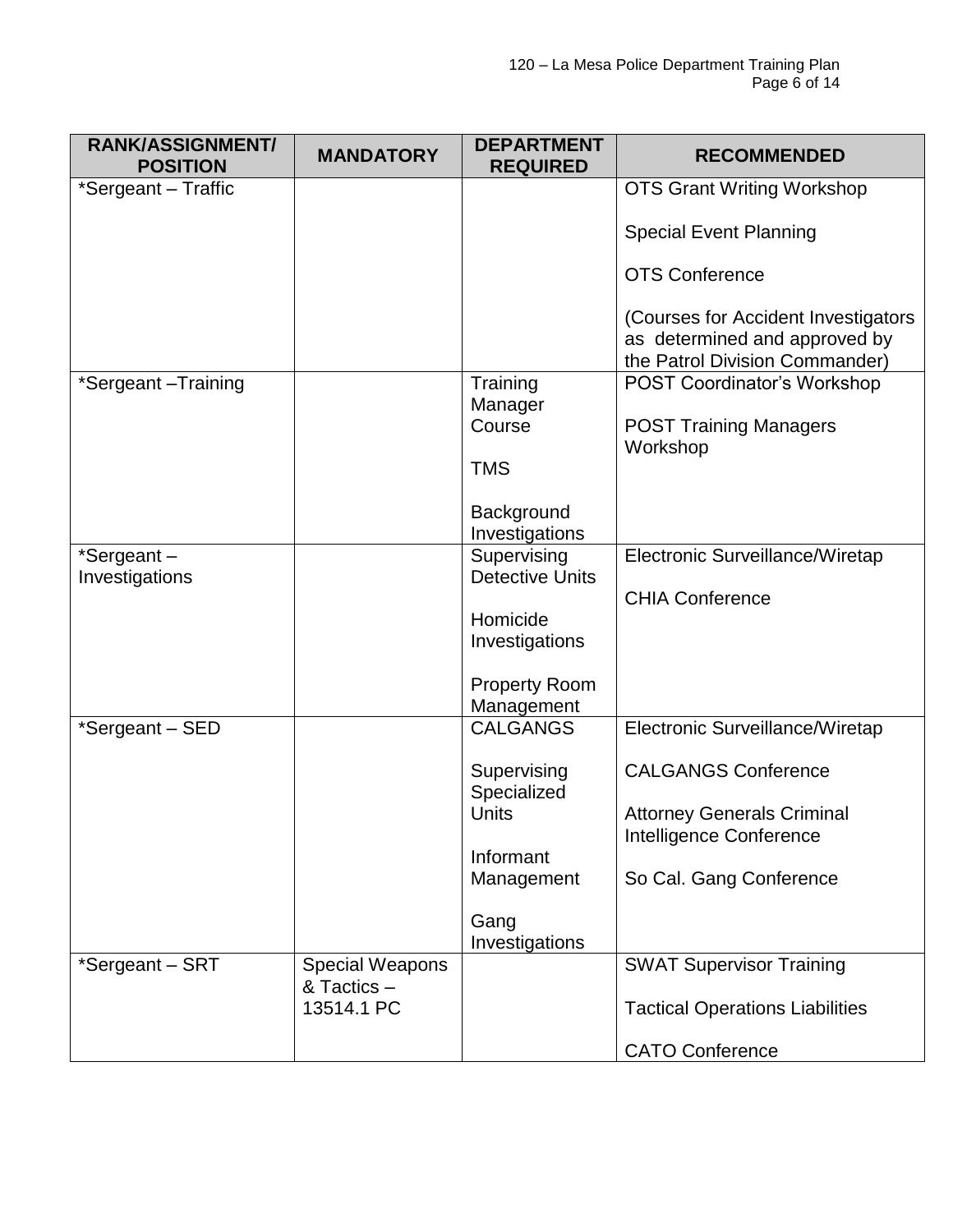| <b>RANK/ASSIGNMENT/</b><br><b>POSITION</b> | <b>MANDATORY</b>                      | <b>DEPARTMENT</b><br><b>REQUIRED</b>  | <b>RECOMMENDED</b>                        |
|--------------------------------------------|---------------------------------------|---------------------------------------|-------------------------------------------|
| *Sergeant - Traffic                        |                                       |                                       | <b>OTS Grant Writing Workshop</b>         |
|                                            |                                       |                                       |                                           |
|                                            |                                       |                                       | <b>Special Event Planning</b>             |
|                                            |                                       |                                       | <b>OTS Conference</b>                     |
|                                            |                                       |                                       | (Courses for Accident Investigators       |
|                                            |                                       |                                       | as determined and approved by             |
|                                            |                                       |                                       | the Patrol Division Commander)            |
| *Sergeant-Training                         |                                       | Training                              | <b>POST Coordinator's Workshop</b>        |
|                                            |                                       | Manager                               |                                           |
|                                            |                                       | Course                                | <b>POST Training Managers</b><br>Workshop |
|                                            |                                       | <b>TMS</b>                            |                                           |
|                                            |                                       |                                       |                                           |
|                                            |                                       | Background                            |                                           |
|                                            |                                       | Investigations                        |                                           |
| *Sergeant-<br>Investigations               |                                       | Supervising<br><b>Detective Units</b> | Electronic Surveillance/Wiretap           |
|                                            |                                       |                                       | <b>CHIA Conference</b>                    |
|                                            |                                       | Homicide                              |                                           |
|                                            |                                       | Investigations                        |                                           |
|                                            |                                       |                                       |                                           |
|                                            |                                       | <b>Property Room</b>                  |                                           |
|                                            |                                       | Management                            |                                           |
| *Sergeant - SED                            |                                       | <b>CALGANGS</b>                       | Electronic Surveillance/Wiretap           |
|                                            |                                       | Supervising                           | <b>CALGANGS Conference</b>                |
|                                            |                                       | Specialized                           |                                           |
|                                            |                                       | Units                                 | <b>Attorney Generals Criminal</b>         |
|                                            |                                       |                                       | Intelligence Conference                   |
|                                            |                                       | Informant<br>Management               | So Cal. Gang Conference                   |
|                                            |                                       |                                       |                                           |
|                                            |                                       | Gang                                  |                                           |
|                                            |                                       | Investigations                        |                                           |
| *Sergeant - SRT                            | <b>Special Weapons</b><br>& Tactics - |                                       | <b>SWAT Supervisor Training</b>           |
|                                            | 13514.1 PC                            |                                       | <b>Tactical Operations Liabilities</b>    |
|                                            |                                       |                                       |                                           |
|                                            |                                       |                                       | <b>CATO Conference</b>                    |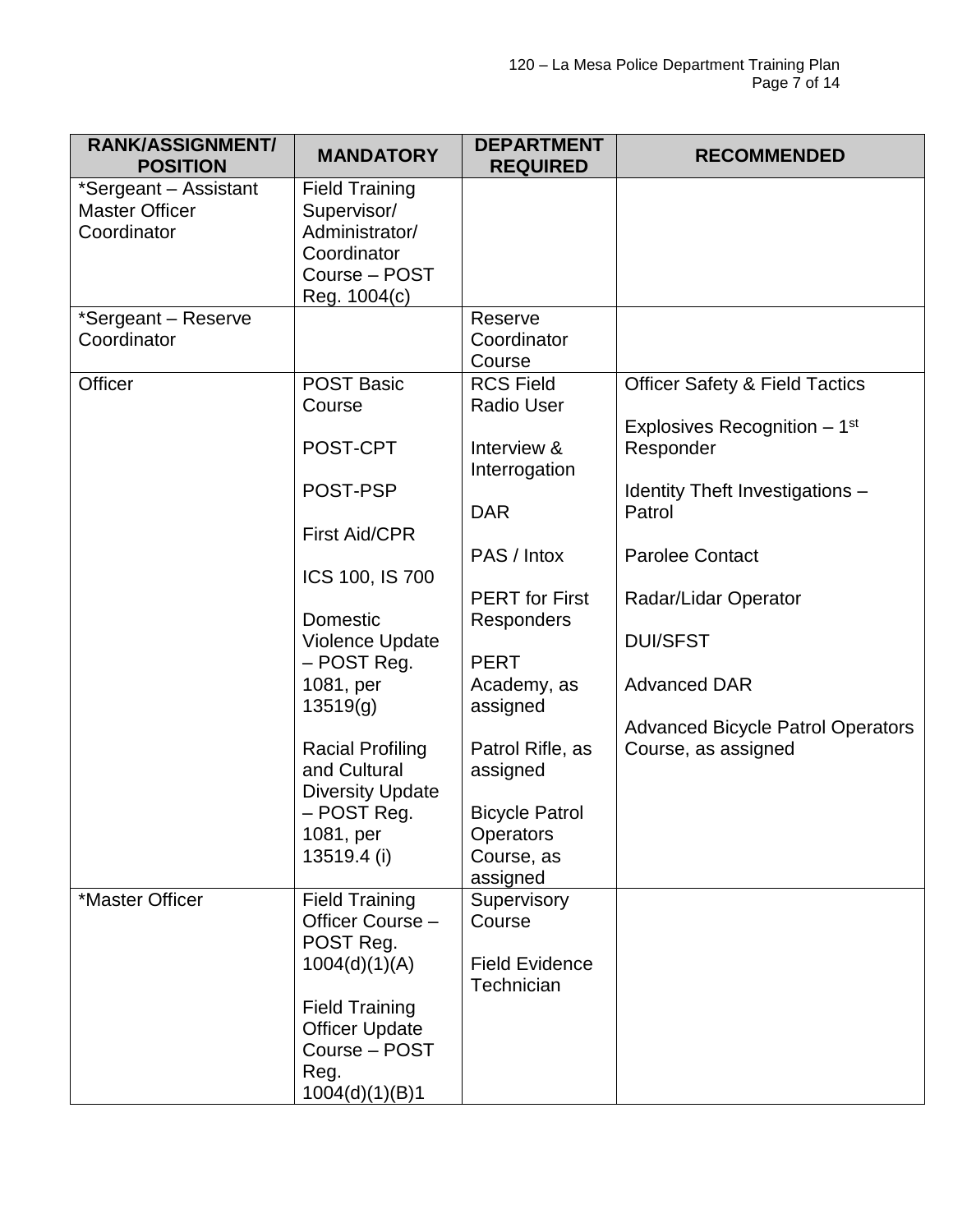| <b>RANK/ASSIGNMENT/</b><br><b>POSITION</b>                    | <b>MANDATORY</b>                                                                                                                                                                                                                                                                              | <b>DEPARTMENT</b><br><b>REQUIRED</b>                                                                                                                                                                                                                                           | <b>RECOMMENDED</b>                                                                                                                                                                                                                                                                                  |
|---------------------------------------------------------------|-----------------------------------------------------------------------------------------------------------------------------------------------------------------------------------------------------------------------------------------------------------------------------------------------|--------------------------------------------------------------------------------------------------------------------------------------------------------------------------------------------------------------------------------------------------------------------------------|-----------------------------------------------------------------------------------------------------------------------------------------------------------------------------------------------------------------------------------------------------------------------------------------------------|
| *Sergeant - Assistant<br><b>Master Officer</b><br>Coordinator | <b>Field Training</b><br>Supervisor/<br>Administrator/<br>Coordinator<br>Course - POST<br>Reg. 1004(c)                                                                                                                                                                                        |                                                                                                                                                                                                                                                                                |                                                                                                                                                                                                                                                                                                     |
| *Sergeant - Reserve<br>Coordinator                            |                                                                                                                                                                                                                                                                                               | Reserve<br>Coordinator<br>Course                                                                                                                                                                                                                                               |                                                                                                                                                                                                                                                                                                     |
| Officer                                                       | <b>POST Basic</b><br>Course<br>POST-CPT<br>POST-PSP<br><b>First Aid/CPR</b><br>ICS 100, IS 700<br>Domestic<br><b>Violence Update</b><br>- POST Reg.<br>1081, per<br>13519(g)<br><b>Racial Profiling</b><br>and Cultural<br><b>Diversity Update</b><br>- POST Reg.<br>1081, per<br>13519.4 (i) | <b>RCS Field</b><br><b>Radio User</b><br>Interview &<br>Interrogation<br><b>DAR</b><br>PAS / Intox<br><b>PERT</b> for First<br>Responders<br><b>PERT</b><br>Academy, as<br>assigned<br>Patrol Rifle, as<br>assigned<br><b>Bicycle Patrol</b><br><b>Operators</b><br>Course, as | <b>Officer Safety &amp; Field Tactics</b><br>Explosives Recognition $-1st$<br>Responder<br>Identity Theft Investigations -<br>Patrol<br><b>Parolee Contact</b><br>Radar/Lidar Operator<br><b>DUI/SFST</b><br><b>Advanced DAR</b><br><b>Advanced Bicycle Patrol Operators</b><br>Course, as assigned |
| *Master Officer                                               | <b>Field Training</b><br>Officer Course -<br>POST Reg.<br>1004(d)(1)(A)<br><b>Field Training</b><br><b>Officer Update</b><br>Course - POST<br>Reg.<br>1004(d)(1)(B)1                                                                                                                          | assigned<br>Supervisory<br>Course<br><b>Field Evidence</b><br>Technician                                                                                                                                                                                                       |                                                                                                                                                                                                                                                                                                     |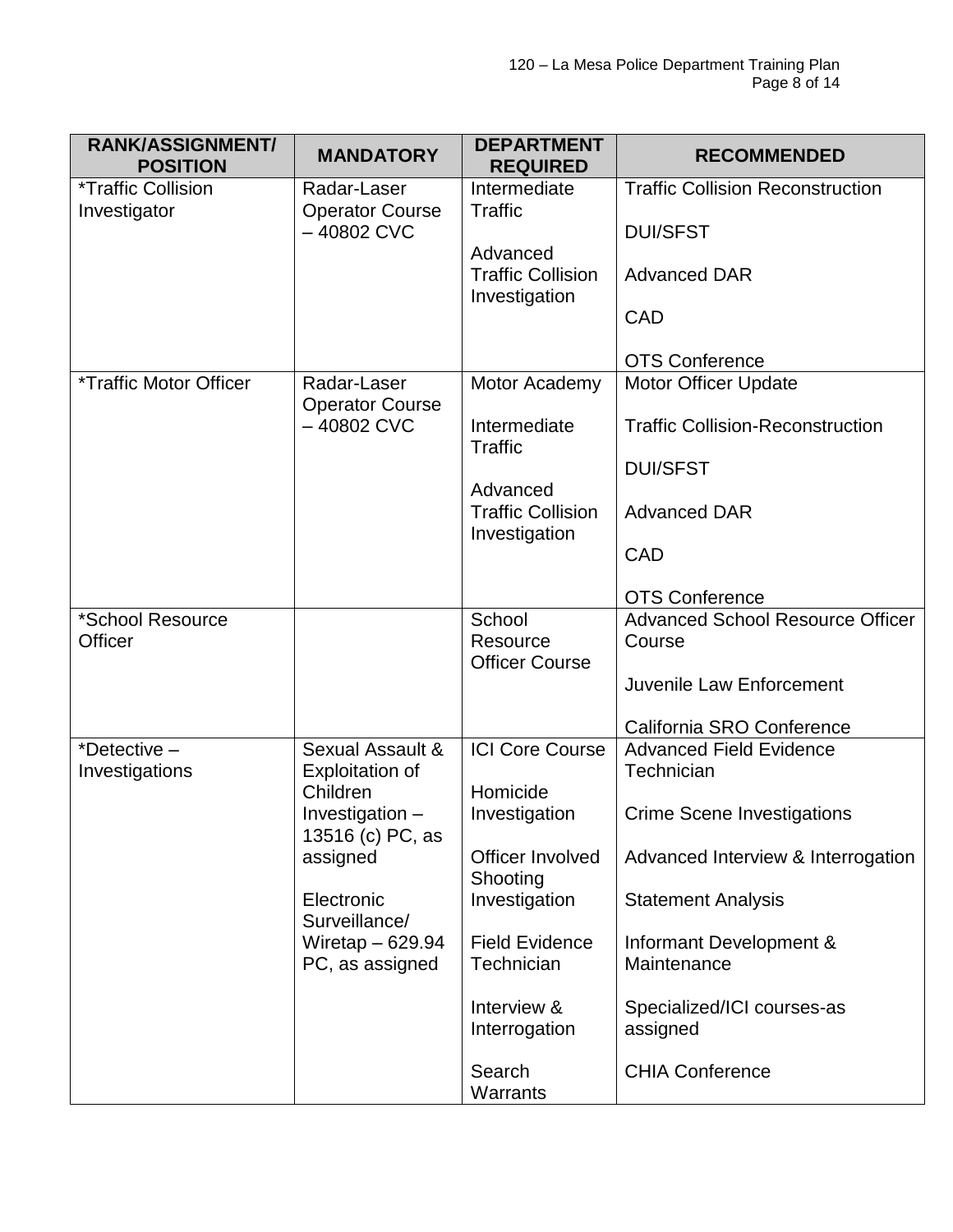| <b>RANK/ASSIGNMENT/</b><br><b>POSITION</b>       | <b>MANDATORY</b>                           | <b>DEPARTMENT</b><br><b>REQUIRED</b>        | <b>RECOMMENDED</b>                                |
|--------------------------------------------------|--------------------------------------------|---------------------------------------------|---------------------------------------------------|
| <i><b>*Traffic Collision</b></i><br>Investigator | Radar-Laser<br><b>Operator Course</b>      | Intermediate<br><b>Traffic</b>              | <b>Traffic Collision Reconstruction</b>           |
|                                                  | $-40802$ CVC                               | Advanced                                    | <b>DUI/SFST</b>                                   |
|                                                  |                                            | <b>Traffic Collision</b><br>Investigation   | <b>Advanced DAR</b>                               |
|                                                  |                                            |                                             | CAD                                               |
|                                                  |                                            |                                             | <b>OTS Conference</b>                             |
| <i><b>*Traffic Motor Officer</b></i>             | Radar-Laser<br><b>Operator Course</b>      | Motor Academy                               | <b>Motor Officer Update</b>                       |
|                                                  | $-40802$ CVC                               | Intermediate<br><b>Traffic</b>              | <b>Traffic Collision-Reconstruction</b>           |
|                                                  |                                            | Advanced                                    | <b>DUI/SFST</b>                                   |
|                                                  |                                            | <b>Traffic Collision</b><br>Investigation   | <b>Advanced DAR</b>                               |
|                                                  |                                            |                                             | CAD                                               |
|                                                  |                                            |                                             | <b>OTS Conference</b>                             |
| *School Resource<br>Officer                      |                                            | School<br>Resource<br><b>Officer Course</b> | <b>Advanced School Resource Officer</b><br>Course |
|                                                  |                                            |                                             | Juvenile Law Enforcement                          |
|                                                  |                                            |                                             | California SRO Conference                         |
| *Detective $-$<br>Investigations                 | Sexual Assault &<br><b>Exploitation of</b> | <b>ICI Core Course</b>                      | <b>Advanced Field Evidence</b><br>Technician      |
|                                                  | Children<br>Investigation -                | Homicide<br>Investigation                   | Crime Scene Investigations                        |
|                                                  | 13516 (c) PC, as<br>assigned               | Officer Involved<br>Shooting                | Advanced Interview & Interrogation                |
|                                                  | Electronic<br>Surveillance/                | Investigation                               | <b>Statement Analysis</b>                         |
|                                                  | Wiretap $-629.94$<br>PC, as assigned       | <b>Field Evidence</b><br>Technician         | Informant Development &<br>Maintenance            |
|                                                  |                                            | Interview &<br>Interrogation                | Specialized/ICI courses-as<br>assigned            |
|                                                  |                                            | Search<br>Warrants                          | <b>CHIA Conference</b>                            |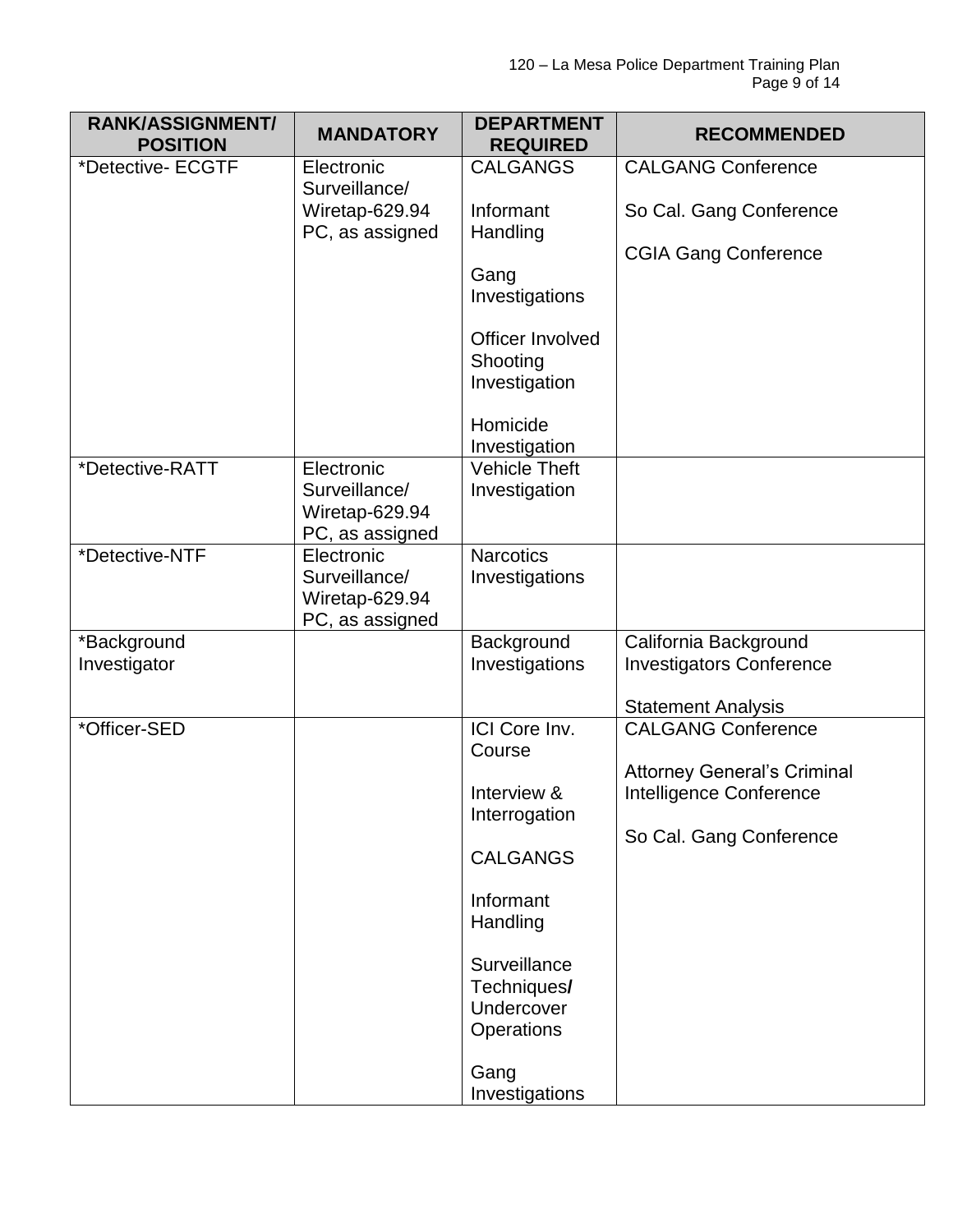| <b>RANK/ASSIGNMENT/</b><br><b>POSITION</b> | <b>MANDATORY</b>                                                 | <b>DEPARTMENT</b><br><b>REQUIRED</b>          | <b>RECOMMENDED</b>                                            |
|--------------------------------------------|------------------------------------------------------------------|-----------------------------------------------|---------------------------------------------------------------|
| *Detective- ECGTF                          | Electronic<br>Surveillance/                                      | <b>CALGANGS</b>                               | <b>CALGANG Conference</b>                                     |
|                                            | Wiretap-629.94<br>PC, as assigned                                | Informant<br>Handling                         | So Cal. Gang Conference                                       |
|                                            |                                                                  | Gang                                          | <b>CGIA Gang Conference</b>                                   |
|                                            |                                                                  | Investigations                                |                                                               |
|                                            |                                                                  | Officer Involved<br>Shooting<br>Investigation |                                                               |
|                                            |                                                                  | Homicide<br>Investigation                     |                                                               |
| *Detective-RATT                            | Electronic<br>Surveillance/<br>Wiretap-629.94<br>PC, as assigned | <b>Vehicle Theft</b><br>Investigation         |                                                               |
| *Detective-NTF                             | Electronic<br>Surveillance/<br>Wiretap-629.94<br>PC, as assigned | <b>Narcotics</b><br>Investigations            |                                                               |
| *Background                                |                                                                  | Background                                    | California Background                                         |
| Investigator                               |                                                                  | Investigations                                | <b>Investigators Conference</b>                               |
| *Officer-SED                               |                                                                  | ICI Core Inv.                                 | <b>Statement Analysis</b><br><b>CALGANG Conference</b>        |
|                                            |                                                                  | Course                                        |                                                               |
|                                            |                                                                  | Interview &<br>Interrogation                  | <b>Attorney General's Criminal</b><br>Intelligence Conference |
|                                            |                                                                  | <b>CALGANGS</b>                               | So Cal. Gang Conference                                       |
|                                            |                                                                  | Informant<br>Handling                         |                                                               |
|                                            |                                                                  | Surveillance<br>Techniques/<br>Undercover     |                                                               |
|                                            |                                                                  | Operations<br>Gang<br>Investigations          |                                                               |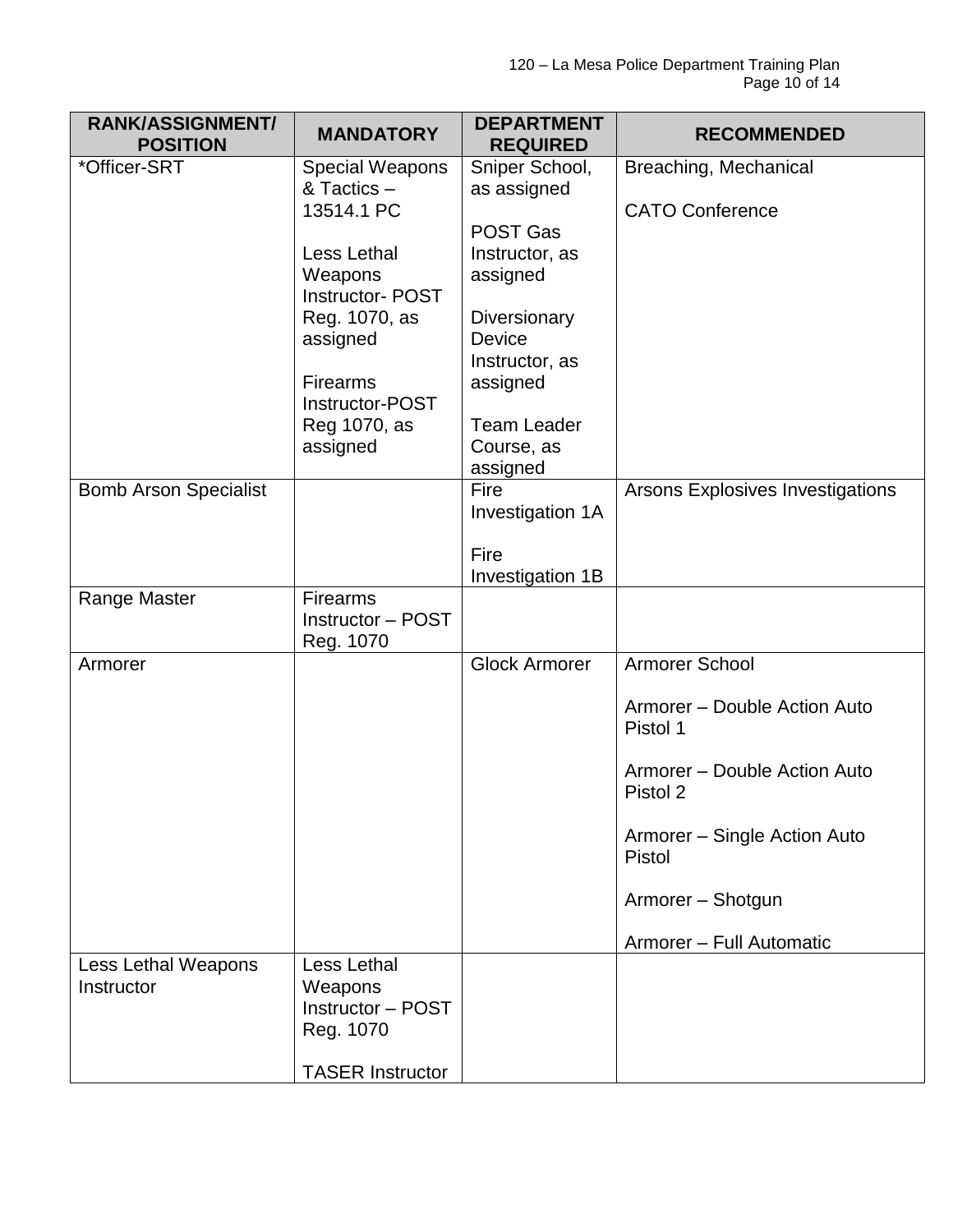| <b>RANK/ASSIGNMENT/</b><br><b>POSITION</b> | <b>MANDATORY</b>                      | <b>DEPARTMENT</b><br><b>REQUIRED</b> | <b>RECOMMENDED</b>                      |
|--------------------------------------------|---------------------------------------|--------------------------------------|-----------------------------------------|
| *Officer-SRT                               | <b>Special Weapons</b>                | Sniper School,                       | Breaching, Mechanical                   |
|                                            | & Tactics -                           | as assigned                          |                                         |
|                                            | 13514.1 PC                            |                                      | <b>CATO Conference</b>                  |
|                                            |                                       | <b>POST Gas</b>                      |                                         |
|                                            | Less Lethal                           | Instructor, as                       |                                         |
|                                            | Weapons<br><b>Instructor-POST</b>     | assigned                             |                                         |
|                                            | Reg. 1070, as                         | Diversionary                         |                                         |
|                                            | assigned                              | Device                               |                                         |
|                                            |                                       | Instructor, as                       |                                         |
|                                            | <b>Firearms</b>                       | assigned                             |                                         |
|                                            | Instructor-POST                       | <b>Team Leader</b>                   |                                         |
|                                            | Reg 1070, as<br>assigned              | Course, as                           |                                         |
|                                            |                                       | assigned                             |                                         |
| <b>Bomb Arson Specialist</b>               |                                       | Fire                                 | <b>Arsons Explosives Investigations</b> |
|                                            |                                       | Investigation 1A                     |                                         |
|                                            |                                       |                                      |                                         |
|                                            |                                       | Fire<br>Investigation 1B             |                                         |
| Range Master                               | <b>Firearms</b>                       |                                      |                                         |
|                                            | Instructor - POST                     |                                      |                                         |
|                                            | Reg. 1070                             |                                      |                                         |
| Armorer                                    |                                       | <b>Glock Armorer</b>                 | Armorer School                          |
|                                            |                                       |                                      | Armorer - Double Action Auto            |
|                                            |                                       |                                      | Pistol 1                                |
|                                            |                                       |                                      | Armorer - Double Action Auto            |
|                                            |                                       |                                      | Pistol 2                                |
|                                            |                                       |                                      |                                         |
|                                            |                                       |                                      | Armorer - Single Action Auto<br>Pistol  |
|                                            |                                       |                                      |                                         |
|                                            |                                       |                                      | Armorer - Shotgun                       |
|                                            |                                       |                                      | Armorer - Full Automatic                |
| Less Lethal Weapons                        | Less Lethal                           |                                      |                                         |
| Instructor                                 | Weapons                               |                                      |                                         |
|                                            | <b>Instructor - POST</b><br>Reg. 1070 |                                      |                                         |
|                                            |                                       |                                      |                                         |
|                                            | <b>TASER Instructor</b>               |                                      |                                         |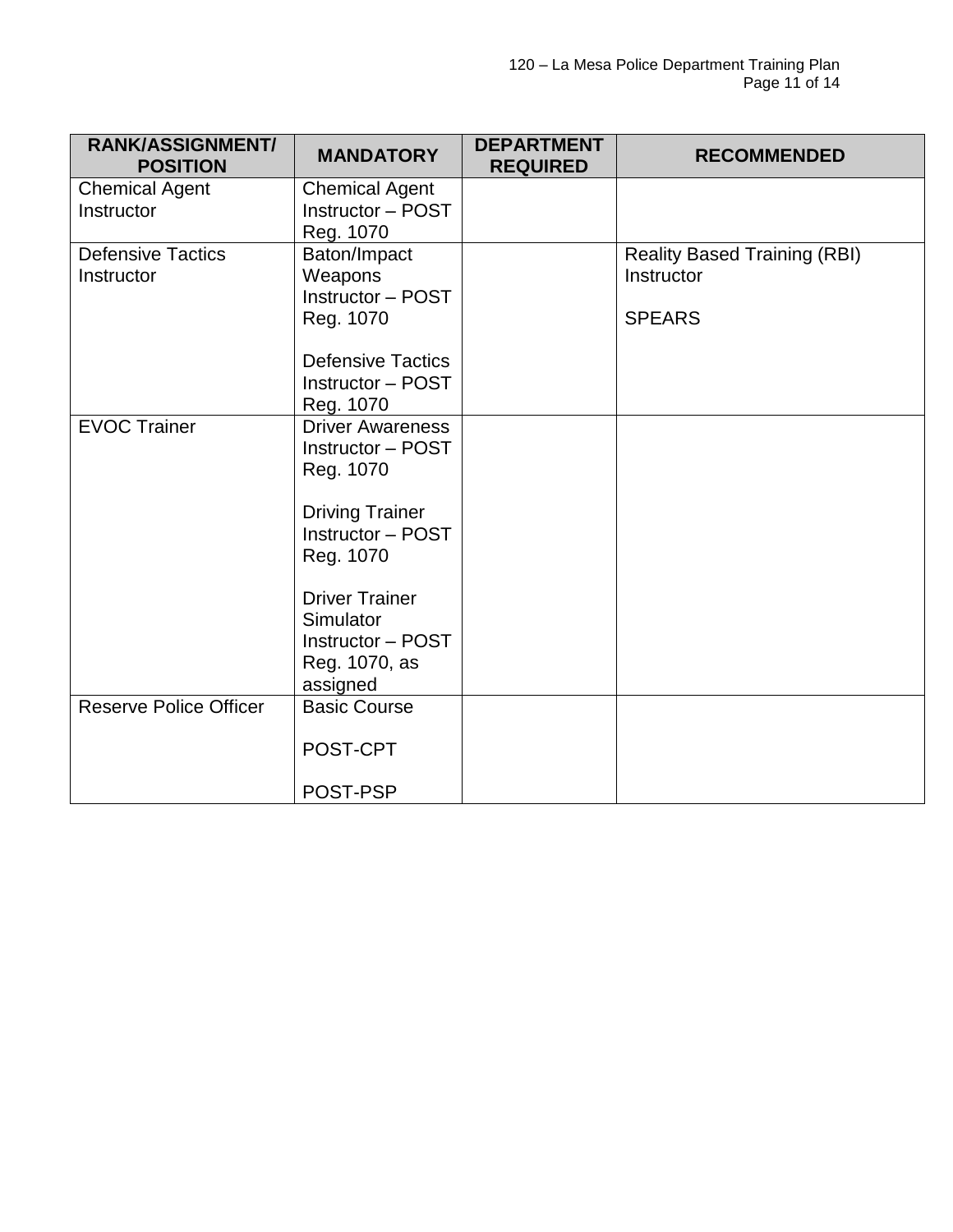| <b>RANK/ASSIGNMENT/</b><br><b>POSITION</b> | <b>MANDATORY</b>                                                                                                                                                                                                                         | <b>DEPARTMENT</b><br><b>REQUIRED</b> | <b>RECOMMENDED</b>                                                 |
|--------------------------------------------|------------------------------------------------------------------------------------------------------------------------------------------------------------------------------------------------------------------------------------------|--------------------------------------|--------------------------------------------------------------------|
| <b>Chemical Agent</b><br>Instructor        | <b>Chemical Agent</b><br>Instructor - POST<br>Reg. 1070                                                                                                                                                                                  |                                      |                                                                    |
| <b>Defensive Tactics</b><br>Instructor     | Baton/Impact<br>Weapons<br>Instructor - POST<br>Reg. 1070<br><b>Defensive Tactics</b><br><b>Instructor - POST</b>                                                                                                                        |                                      | <b>Reality Based Training (RBI)</b><br>Instructor<br><b>SPEARS</b> |
| <b>EVOC Trainer</b>                        | Reg. 1070<br><b>Driver Awareness</b><br>Instructor - POST<br>Reg. 1070<br><b>Driving Trainer</b><br><b>Instructor - POST</b><br>Reg. 1070<br><b>Driver Trainer</b><br>Simulator<br><b>Instructor - POST</b><br>Reg. 1070, as<br>assigned |                                      |                                                                    |
| <b>Reserve Police Officer</b>              | <b>Basic Course</b><br>POST-CPT<br>POST-PSP                                                                                                                                                                                              |                                      |                                                                    |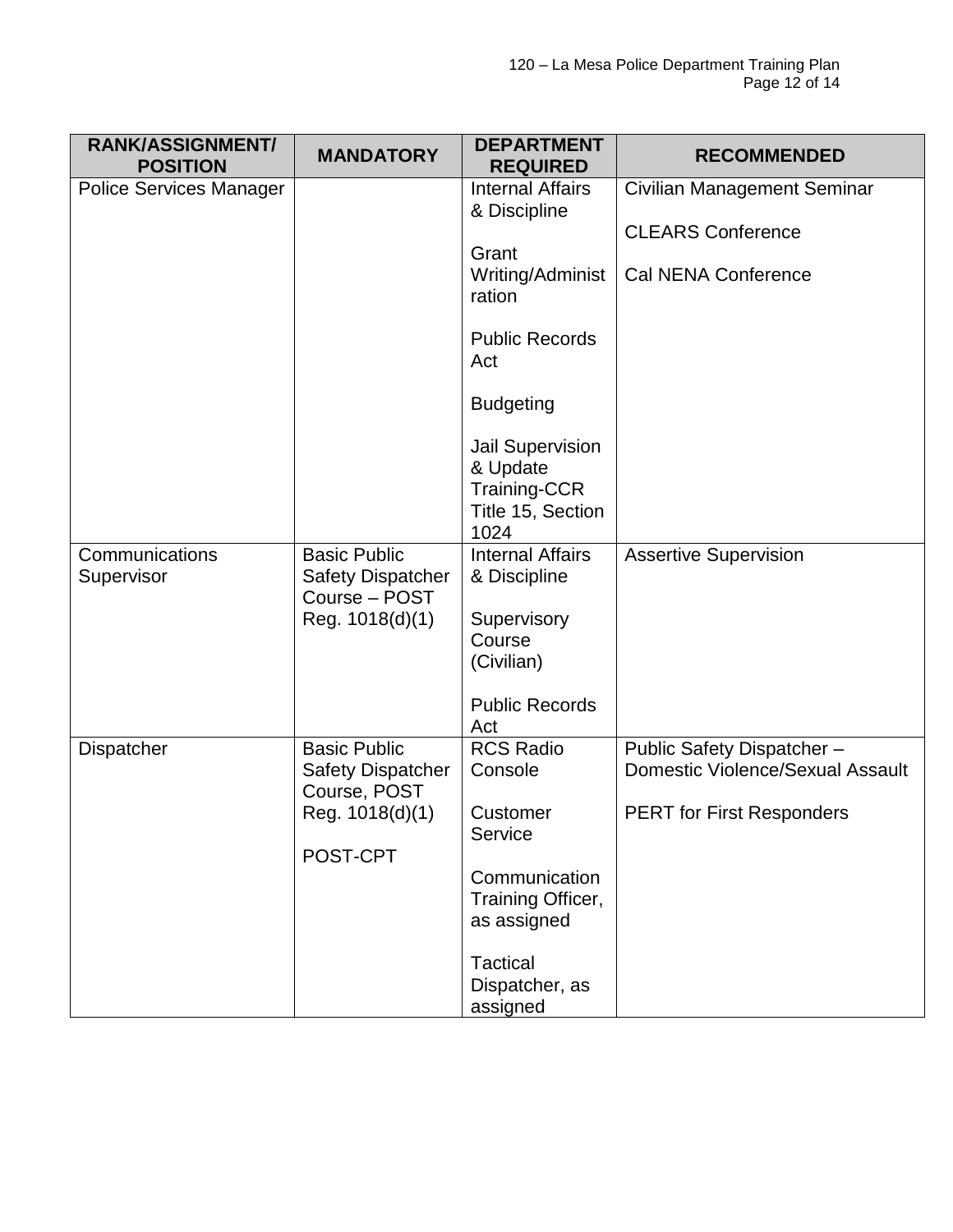| <b>RANK/ASSIGNMENT/</b><br><b>POSITION</b> | <b>MANDATORY</b>                          | <b>DEPARTMENT</b><br><b>REQUIRED</b>    | <b>RECOMMENDED</b>                      |
|--------------------------------------------|-------------------------------------------|-----------------------------------------|-----------------------------------------|
| <b>Police Services Manager</b>             |                                           | <b>Internal Affairs</b><br>& Discipline | Civilian Management Seminar             |
|                                            |                                           |                                         | <b>CLEARS Conference</b>                |
|                                            |                                           | Grant                                   |                                         |
|                                            |                                           | Writing/Administ<br>ration              | Cal NENA Conference                     |
|                                            |                                           | <b>Public Records</b><br>Act            |                                         |
|                                            |                                           | <b>Budgeting</b>                        |                                         |
|                                            |                                           | <b>Jail Supervision</b>                 |                                         |
|                                            |                                           | & Update<br><b>Training-CCR</b>         |                                         |
|                                            |                                           | Title 15, Section<br>1024               |                                         |
| Communications                             | <b>Basic Public</b>                       | <b>Internal Affairs</b>                 | <b>Assertive Supervision</b>            |
| Supervisor                                 | <b>Safety Dispatcher</b><br>Course - POST | & Discipline                            |                                         |
|                                            | Reg. 1018(d)(1)                           | Supervisory                             |                                         |
|                                            |                                           | Course<br>(Civilian)                    |                                         |
|                                            |                                           |                                         |                                         |
|                                            |                                           | <b>Public Records</b><br>Act            |                                         |
| <b>Dispatcher</b>                          | <b>Basic Public</b>                       | <b>RCS Radio</b>                        | Public Safety Dispatcher-               |
|                                            | <b>Safety Dispatcher</b><br>Course, POST  | Console                                 | <b>Domestic Violence/Sexual Assault</b> |
|                                            | Reg. 1018(d)(1)                           | Customer                                | <b>PERT for First Responders</b>        |
|                                            | POST-CPT                                  | Service                                 |                                         |
|                                            |                                           | Communication                           |                                         |
|                                            |                                           | Training Officer,                       |                                         |
|                                            |                                           | as assigned                             |                                         |
|                                            |                                           | Tactical                                |                                         |
|                                            |                                           | Dispatcher, as<br>assigned              |                                         |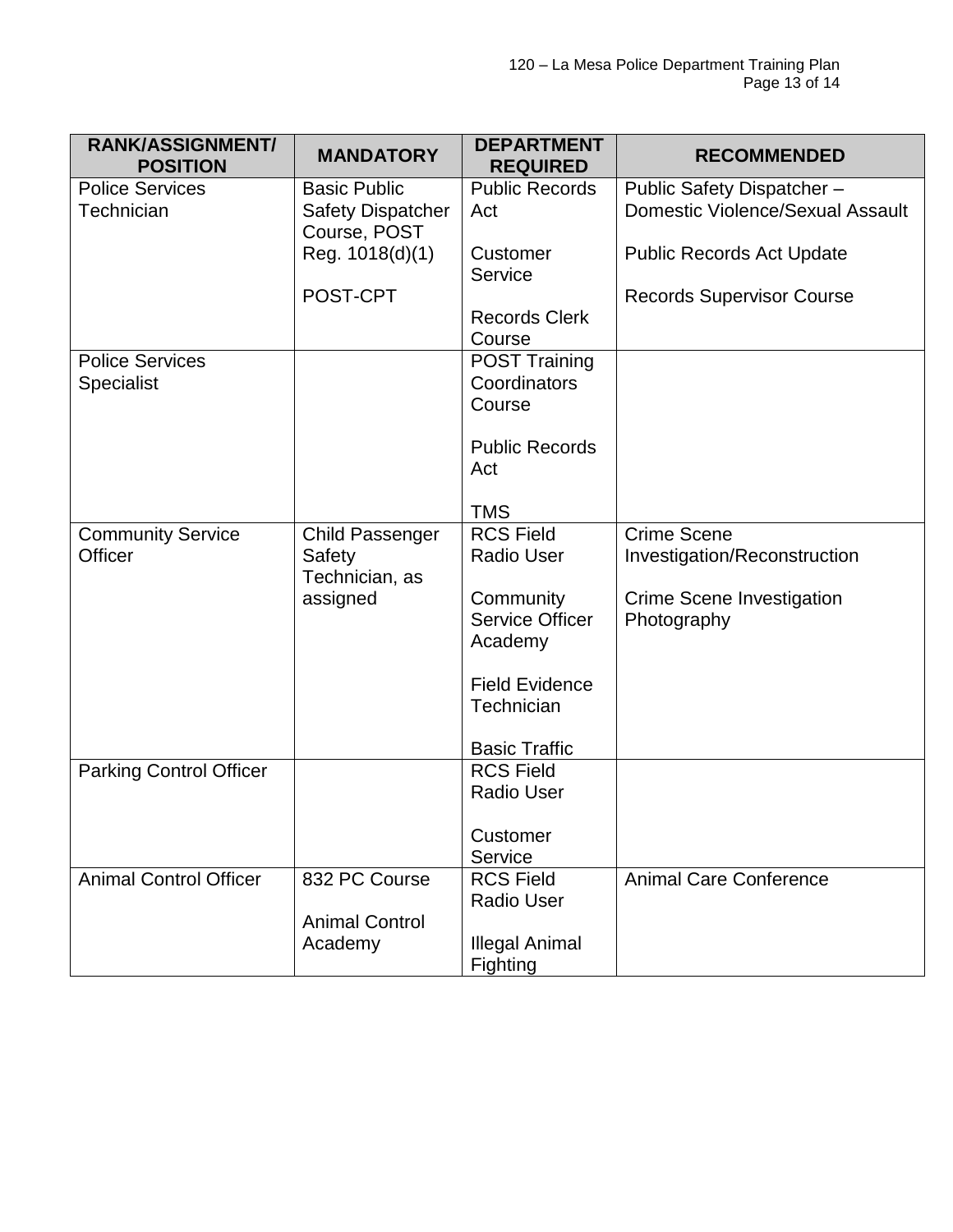| <b>RANK/ASSIGNMENT/</b><br><b>POSITION</b> | <b>MANDATORY</b>                                                | <b>DEPARTMENT</b><br><b>REQUIRED</b>           | <b>RECOMMENDED</b>                                                   |
|--------------------------------------------|-----------------------------------------------------------------|------------------------------------------------|----------------------------------------------------------------------|
| <b>Police Services</b><br>Technician       | <b>Basic Public</b><br><b>Safety Dispatcher</b><br>Course, POST | <b>Public Records</b><br>Act                   | Public Safety Dispatcher-<br><b>Domestic Violence/Sexual Assault</b> |
|                                            | Reg. 1018(d)(1)                                                 | Customer<br>Service                            | <b>Public Records Act Update</b>                                     |
|                                            | POST-CPT                                                        |                                                | <b>Records Supervisor Course</b>                                     |
|                                            |                                                                 | <b>Records Clerk</b><br>Course                 |                                                                      |
| <b>Police Services</b>                     |                                                                 | <b>POST Training</b>                           |                                                                      |
| Specialist                                 |                                                                 | Coordinators                                   |                                                                      |
|                                            |                                                                 | Course                                         |                                                                      |
|                                            |                                                                 | <b>Public Records</b>                          |                                                                      |
|                                            |                                                                 | Act                                            |                                                                      |
|                                            |                                                                 | <b>TMS</b>                                     |                                                                      |
| <b>Community Service</b><br>Officer        | Child Passenger<br>Safety<br>Technician, as                     | <b>RCS Field</b><br><b>Radio User</b>          | <b>Crime Scene</b><br>Investigation/Reconstruction                   |
|                                            | assigned                                                        | Community<br><b>Service Officer</b><br>Academy | Crime Scene Investigation<br>Photography                             |
|                                            |                                                                 | <b>Field Evidence</b><br>Technician            |                                                                      |
|                                            |                                                                 | <b>Basic Traffic</b>                           |                                                                      |
| <b>Parking Control Officer</b>             |                                                                 | <b>RCS Field</b>                               |                                                                      |
|                                            |                                                                 | <b>Radio User</b>                              |                                                                      |
|                                            |                                                                 | Customer<br>Service                            |                                                                      |
| <b>Animal Control Officer</b>              | 832 PC Course                                                   | <b>RCS Field</b><br><b>Radio User</b>          | <b>Animal Care Conference</b>                                        |
|                                            | <b>Animal Control</b>                                           |                                                |                                                                      |
|                                            | Academy                                                         | <b>Illegal Animal</b><br>Fighting              |                                                                      |